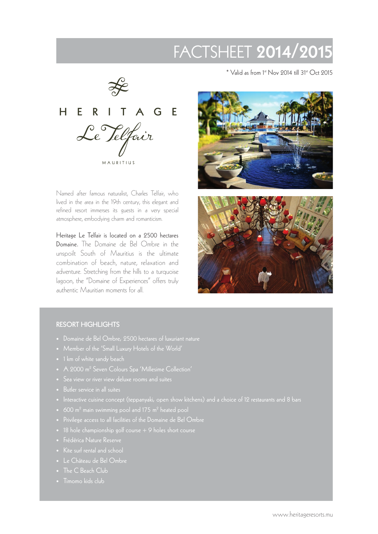# FACTSHEET 2014/2015

 $\frac{1}{2}$ HERITAGE Le Telfair MAURITIUS

Named after famous naturalist, Charles Telfair, who lived in the area in the 19th century, this elegant and refined resort immerses its guests in a very special atmosphere, embodying charm and romanticism.

Heritage Le Telfair is located on a 2500 hectares Domaine. The Domaine de Bel Ombre in the unspoilt South of Mauritius is the ultimate combination of beach, nature, relaxation and adventure. Stretching from the hills to a turquoise lagoon, the "Domaine of Experiences" offers truly authentic Mauritian moments for all.

 $*$  Valid as from 1st Nov 2014 till 31st Oct 2015





#### RESORT HIGHLIGHTS

- 
- 
- 1 km of white sandy beach
- A 2000 m<sup>2</sup> Seven Colours Spa 'Millesime Collection'
- Sea view or river view deluxe rooms and suites
- Butler service in all suites
- Interactive cuisine concept (teppanyaki, open show kitchens) and a choice of 12 restaurants and 8 bars
- $\bullet$   $\,$  600 m $^{2}$  main swimming pool and 175 m $^{2}$  heated pool
- 
- 
- 
- Kite surf rental and school
- Le Château de Bel Ombre
- The C Beach Club
-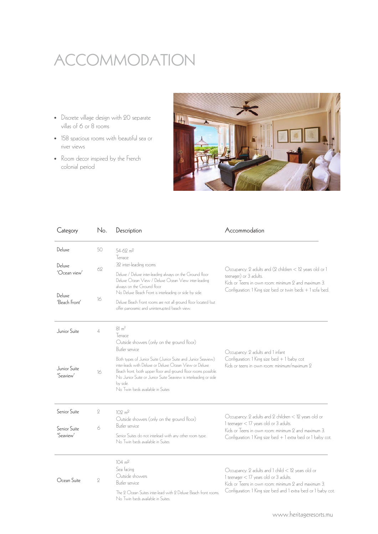# ACCOMMODATION

- Discrete village design with 20 separate villas of 6 or 8 rooms
- 158 spacious rooms with beautiful sea or river views
- Room decor inspired by the French colonial period



| Category                     | No.            | Description                                                                                                                                                                                                                                                                                                 | Accommodation                                                                                                                                                                                                       |
|------------------------------|----------------|-------------------------------------------------------------------------------------------------------------------------------------------------------------------------------------------------------------------------------------------------------------------------------------------------------------|---------------------------------------------------------------------------------------------------------------------------------------------------------------------------------------------------------------------|
| Deluxe                       | 50             | 54-62 m <sup>2</sup><br>Terrace                                                                                                                                                                                                                                                                             |                                                                                                                                                                                                                     |
| Deluxe<br>$'$ Ocean view $'$ | 62             | 32 inter-leading rooms<br>Deluxe / Deluxe inter-leading always on the Ground floor<br>Deluxe Ocean View / Deluxe Ocean View inter-leading                                                                                                                                                                   | Occupancy: 2 adults and (2 children < 12 years old or 1<br>teenager) or 3 adults.                                                                                                                                   |
| Deluxe<br>'Beach Front'      | 16             | always on the Ground floor<br>No Deluxe Beach Front is interleading or side by side.                                                                                                                                                                                                                        | Kids or Teens in own room: minimum 2 and maximum 3.<br>Configuration: 1 King size bed or twin beds + 1 sofa bed.                                                                                                    |
|                              |                | Deluxe Beach Front rooms are not all ground floor located but<br>offer panoramic and uninterrupted beach view.                                                                                                                                                                                              |                                                                                                                                                                                                                     |
| Junior Suite                 | $\overline{4}$ | $81 \text{ m}^2$<br>Terrace<br>Outside showers (only on the ground floor)<br>Butler service                                                                                                                                                                                                                 | Occupancy: 2 adults and 1 infant                                                                                                                                                                                    |
| Junior Suite<br>'Seaview'    | 16             | Both types of Junior Suite (Junior Suite and Junior Seaview)<br>inter-leads with Deluxe or Deluxe Ocean View or Deluxe<br>Beach front. both upper floor and ground floor rooms possible.<br>No Junior Suite or Junior Suite Seaview is interleading or side<br>by side.<br>No Twin beds available in Suites | Configuration: 1 King size bed + 1 baby cot<br>Kids or teens in own room: minimum/maximum 9                                                                                                                         |
| Senior Suite                 | 9              | 109 m <sup>2</sup><br>Outside showers (only on the ground floor)<br>1 teenager < 17 years old or 3 adults.<br>Butler service<br>Senior Suites do not interlead with any other room type.<br>No Twin beds available in Suites                                                                                | Occupancy: 2 adults and 2 children < 12 years old or                                                                                                                                                                |
| Senior Suite<br>'Seaview'    | 6              |                                                                                                                                                                                                                                                                                                             | Kids or Teens in own room: minimum 2 and maximum 3.<br>Configuration: 1 King size bed $+1$ extra bed or 1 baby cot.                                                                                                 |
| Ocean Suite                  | $\overline{2}$ | $104 \text{ m}^2$<br>Sea facing<br>Outside showers<br>Butler service<br>The 9 Ocean Suites inter-lead with 9 Deluxe Beach front rooms.<br>No Twin beds available in Suites.                                                                                                                                 | Occupancy: 2 adults and 1 child < 12 years old or<br>1 teenager < 17 years old or 3 adults.<br>Kids or Teens in own room: minimum 2 and maximum 3.<br>Configuration: 1 King size bed and 1 extra bed or 1 baby cot. |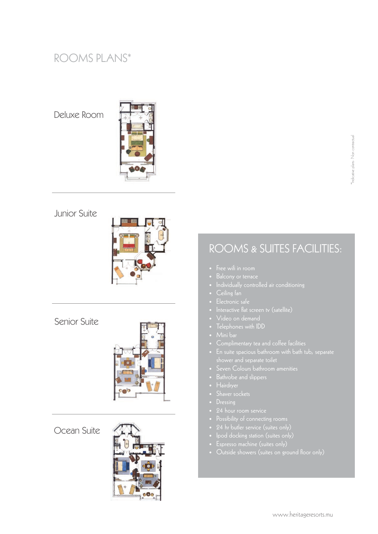# ROOMS PLANS\*

Deluxe Room



### Junior Suite



Senior Suite



Ocean Suite



# ROOMS & SUITES FACILITIES:

- 
- 
- 
- 
- 
- 
- Video on demand
- Telephones with IDD
- 
- 
- 
- -
- 
- 
- 
- 
- 
- 
- 
- 
-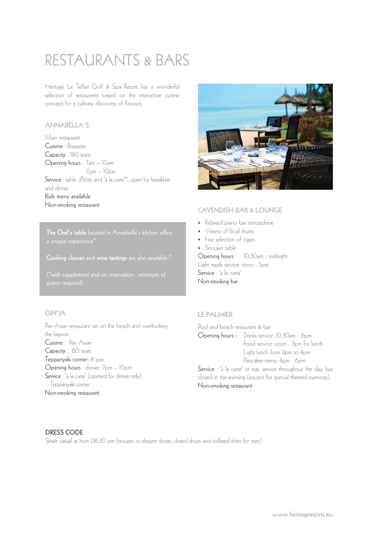# RESTAURANTS & BARS

Heritage Le Telfair Golf & Spa Resort has a wonderful selection of restaurants based on the interactive cuisine concept for a culinary discovery of flavours.

#### ANNABELLA'S

Main restaurant Cuisine : Brasserie Capacity : 180 seats Opening hours : 7am – 10am 7pm – 10pm Service : table d'hôte and 'à la carte\*', open for breakfast and dinner Kids menu available Non-smoking restaurant

The Chef's table located in Annabella's kitchen offers

Cooking classes and wine tastings are also available.\*

(\*with supplement and on reservation - minimum of guests required)

#### GIN'JA

Pan-Asian restaurant set on the beach and overlooking the lagoon. Cuisine : Pan Asian Capacity : 60 seats Teppanyaki corner: 8 pax Opening hours : dinner: 7pm – 10pm Service : 'à la carte' (opened for dinner only) - Teppanyaki corner Non-smoking restaurant



#### CAVENDISH BAR & LOUNGE

- Relaxed piano bar atmosphere
- Variety of local rhums
- Fine selection of cigars
- Snooker table

Opening hours : 10:30am - midnight Light meals service: noon - 5pm Service : 'à la carte' Non-smoking bar

#### LE PALMIER

| Pool and beach restaurant & bar                               |                                               |  |  |  |
|---------------------------------------------------------------|-----------------------------------------------|--|--|--|
|                                                               | Opening hours : Drinks service: 10:30am - 6pm |  |  |  |
|                                                               | Food service: noon - 3pm for lunch            |  |  |  |
|                                                               | Light lunch from 3pm to 4pm                   |  |  |  |
|                                                               | Pancakes menu: 4pm - 6pm                      |  |  |  |
| Service : 'à la carte' or tray service throughout the day but |                                               |  |  |  |
| closed in the evening (except for special themed evenings).   |                                               |  |  |  |
| Non-smoking restaurant                                        |                                               |  |  |  |

#### DRESS CODE

Smart casual as from 06.30 pm (trousers or elegant shorts, closed shoes and collared shirts for men)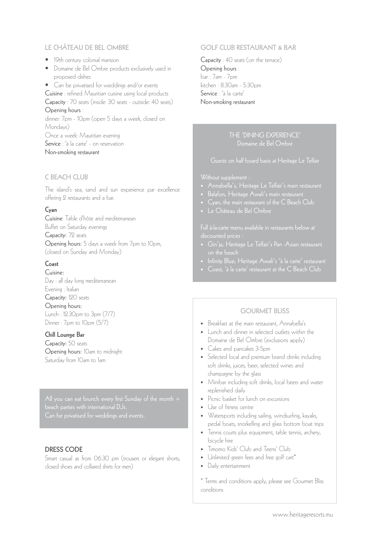#### LE CHÂTEAU DE BEL OMBRE

- 19th century colonial mansion
- Domaine de Bel Ombre products exclusively used in proposed dishes
- Can be privatised for weddings and/or events

Cuisine : refined Mauritian cuisine using local products Capacity : 70 seats (inside: 30 seats - outside: 40 seats) Opening hours :

dinner: 7pm - 10pm (open 5 days a week, closed on Mondays) Once a week: Mauritian evening

Service : 'à la carte' - on reservation

Non-smoking restaurant

#### C BEACH CLUB

The island's sea, sand and sun experience par excellence offering 2 restaurants and a bar.

#### Cyan

Cuisine: Table d'hôte and mediterranean Buffet on Saturday evenings Capacity: 72 seats Opening hours: 5 days a week from 7pm to 10pm, (closed on Sunday and Monday)

#### Coast

Cuisine: Day : all day long mediterranean Evening : Italian Capacity: 120 seats Opening hours: Lunch : 12.30pm to 3pm (7/7) Dinner : 7pm to 10pm (5/7)

#### Chill Lounge Bar

Capacity: 50 seats Opening hours: 10am to midnight Saturday from 10am to 1am

beach parties with international DJs.

#### DRESS CODE

Smart casual as from 06.30 pm (trousers or elegant shorts, closed shoes and collared shirts for men)

#### GOLF CLUB RESTAURANT & BAR

Capacity : 40 seats (on the terrace) Opening hours : bar : 7am - 7pm kitchen : 8:30am - 5:30pm Service : 'à la carte' Non-smoking restaurant

#### THE 'DINING EXPERIENCE' Domaine de Bel Ombre

#### Guests on half board basis at Heritage Le Telfair

#### Without supplement :

- 
- Balafon, Heritage Awali's main restaurant
- 
- Le Château de Bel Ombre

Full à-la-carte menu available in restaurants below at discounted prices :

- Gin'ja, Heritage Le Telfair's Pan -Asian restaurant
- 
- Coast, 'à la carte' restaurant at the C Beach Club

#### **GOURMET BLISS**

- Breakfast at the main restaurant, Annabella's
- Lunch and dinner in selected outlets within the Domaine de Bel Ombre (exclusions apply)
- Cakes and pancakes 3-5pm
- Selected local and premium brand drinks including soft drinks, juices, beer, selected wines and champagne by the glass
- Minibar including soft drinks, local beers and water replenished daily
- Picnic basket for lunch on excursions
- Use of fitness centre
- Watersports including sailing, windsurfing, kayaks, pedal boats, snorkelling and glass bottom boat trips
- Tennis courts plus equipment, table tennis, archery, bicycle hire
- Timomo Kids' Club and Teens' Club
- Unlimited green fees and free golf cart\*
- Daily entertainment

\* Terms and conditions apply, please see Gourmet Bliss conditions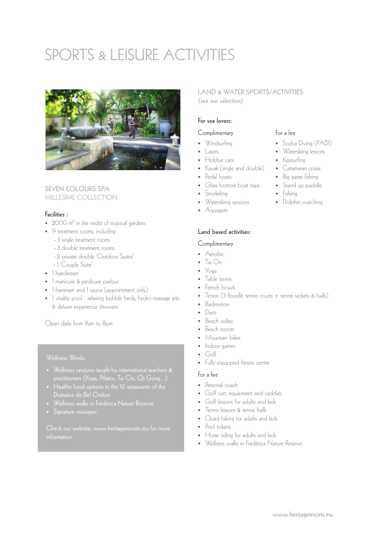# SPORTS & LEISURE ACTIVITIES



#### SEVEN COLOURS SPA MILLESIME COLLECTION

#### Facilities :

- 2000 m<sup>2</sup> in the midst of tropical gardens
- 9 treatment rooms, including :
	- 3 single treatment rooms
	- 3 double treatment rooms
	- 2 private double 'Outdoor Suites'
	- 1 'Couple Suite'
- 1 hairdresser
- 1 manicure & pedicure parlour
- 1 hammam and 1 sauna (appointment only)
- 1 vitality pool relaxing bubble beds, hydro-massage jets & deluxe experience showers

Open daily from 9am to 8pm

#### Wellness Weeks

- 
- Domaine de Bel Ombre
- 
- 

Check our website, www.heritageresorts.mu for more

#### LAND & WATER SPORTS/ACTIVITIES (see our selection)

### For sea lovers:

#### **Complimentary**

- Windsurfing
- Lasers
- Hobbie cats
- Kayak (single and double)
- Pedal boats
- Glass bottom boat trips
- Snorkeling
- Waterskiing sessions
- Aquagym

#### Land based activities:

#### Complimentary

- Aerobic
- Tai Chi
- Yoga
- Table tennis
- French bowls
- Tennis (3 floodlit tennis courts + tennis rackets & balls)
- Badminton
- Darts
- Beach volley
- Beach soccer
- Mountain bikes
- Indoor games
- Golf
- Fully equipped fitness centre

#### For a fee

- Personal coach
- Golf cart, equipment and caddies
- Golf lessons for adults and kids
- Tennis lessons & tennis balls
- Quad biking for adults and kids
- Pool tokens
- Horse riding for adults and kids
- Wellness walks in Frédérica Nature Reserve

# For a fee

- Scuba Diving (PADI)
- Waterskiing lessons
- Kitesurfing
- Catamaran cruise
- Big game fishing
- Stand up paddle
- Fishing
- Dolphin watching
- -
	-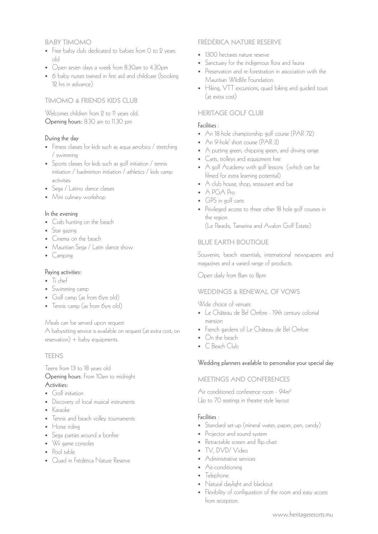#### BABY TIMOMO

- Free baby club dedicated to babies from 0 to 2 years old
- Open seven days a week from 8.30am to 4.30pm
- 6 baby nurses trained in first aid and childcare (booking 12 hrs in advance)

#### TIMOMO & FRIENDS KIDS CLUB

Welcomes children from 2 to 11 years old. Opening hours: 8.30 am to 11.30 pm

#### During the day

- Fitness classes for kids such as aqua aerobics / stretching / swimming
- Sports classes for kids such as golf initiation / tennis initiation / badminton initiation / athletics / kids camp activities
- Sega / Latino dance classes
- Mini culinary workshop

#### In the evening

- Crab hunting on the beach
- Star gazing
- Cinema on the beach
- Mauritian Sega / Latin dance show
- Camping

#### Paying activities:

- Ti chef
- Swimming camp
- Golf camp (as from 6yrs old)
- Tennis camp (as from 6yrs old)

Meals can be served upon request

A babysitting service is available on request (at extra cost, on  $reservation) +$  baby equipments.

#### **TEENS**

#### Teens from 13 to 18 years old Opening hours: From 10am to midnight Activities:

- Golf initiation
- Discovery of local musical instruments
- Karaoke
- Tennis and beach volley tournaments
- Horse riding
- Sega parties around a bonfire
- Wii game consoles
- Pool table
- Quad in Frédérica Nature Reserve

#### FRÉDÉRICA NATURE RESERVE

- 1300 hectares nature reserve
- Sanctuary for the indigenous flora and fauna
- Preservation and re-forestration in association with the Mauritian Wildlife Foundation.
- Hiking, VTT excursions, quad biking and guided tours (at extra cost)

#### HERITAGE GOLF CLUB

#### Facilities :

- An 18-hole championship golf course (PAR 72)
- An 9-hole' short course (PAR 3)
- A putting green, chipping green, and driving range
- Carts, trolleys and equipment hire
- A golf Academy with golf lessons (which can be filmed for extra learning potential)
- A club house, shop, restaurant and bar
- A PGA Pro
- GPS in golf carts
- Privileged access to three other 18 hole golf courses in the region.
	- (Le Paradis, Tamarina and Avalon Golf Estate)

#### BLUE EARTH BOUTIQUE

Souvenirs, beach essentials, international newspapers and magazines and a varied range of products.

Open daily from 8am to 8pm

#### WEDDINGS & RENEWAL OF VOWS

Wide choice of venues:

- Le Château de Bel Ombre 19th century colonial mansion
- French gardens of Le Château de Bel Ombre
- On the beach
- C Beach Club

#### Wedding planners available to personalise your special day

#### MEETINGS AND CONFERENCES

Air conditioned conference room - 94m2 Up to 70 seatings in theatre style layout

#### Facilities :

- Standard set-up (mineral water, paper, pen, candy)
- Projector and sound system
- Retractable screen and flip-chart
- TV, DVD/ Video
- Administrative services
- Air-conditioning
- Telephone
- Natural daylight and blackout
- Flexibility of configuration of the room and easy access from reception.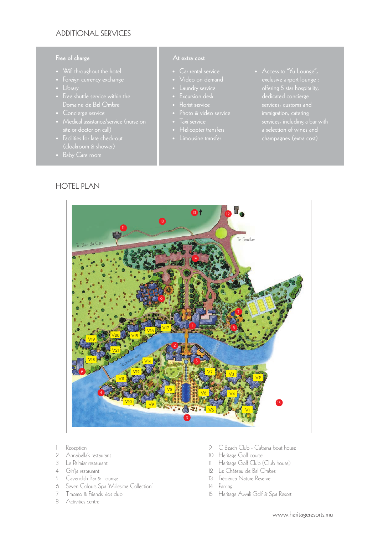#### ADDITIONAL SERVICES

#### Free of charge

- 
- 
- 
- Domaine de Bel Ombre
- 
- site or doctor on call)
- Facilities for late check-out
- 

HOTEL PLAN

- 
- 
- 
- 
- Florist service
- 
- 
- Helicopter transfers
	- Limousine transfer
- services, customs and a selection of wines and champagnes (extra cost)



- 1 Reception
- 2 Annabella's restaurant
- 3 Le Palmier restaurant
- 4 Gin'ja restaurant
- 5 Cavendish Bar & Lounge
- 6 Seven Colours Spa 'Millesime Collection'
- 7 Timomo & Friends kids club
- 8 Activities centre
- 9 C Beach Club Cabana boat house
- 10 Heritage Golf course
- 11 Heritage Golf Club (Club house)
- 12 Le Château de Bel Ombre
- 13 Frédérica Nature Reserve
- 14 Parking
- 15 Heritage Awali Golf & Spa Resort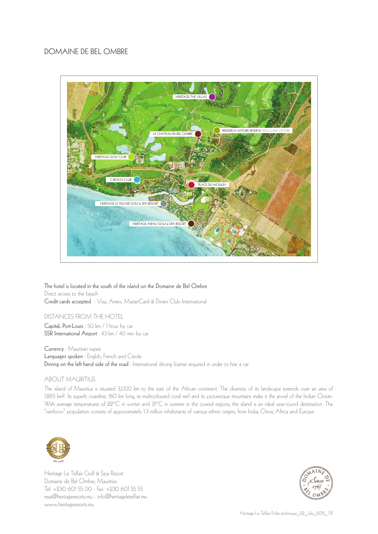#### DOMAINE DE BEL OMBRE



The hotel is located in the south of the island on the Domaine de Bel Ombre Direct access to the beach Credit cards accepted : Visa, Amex, MasterCard & Diners Club International

#### DISTANCES FROM THE HOTEL

Capital, Port-Louis : 50 km / 1 hour by car SSR International Airport : 43 km / 40 min by car

Currency : Mauritian rupee Languages spoken : English, French and Creole Driving on the left hand side of the road : International driving license required in order to hire a car

#### ABOUT MAURITIUS

The island of Mauritius is situated 3,000 km to the east of the African continent. The diversity of its landscape extends over an area of 1,865 km2. Its superb coastline, 160 km long, its multicoloured coral reef and its picturesque mountains make it the jewel of the Indian Ocean. With average temperatures of 22°C in winter and 31°C in summer in the coastal regions, the island is an ideal year-round destination. The "rainbow" population consists of approximately 1.3 million inhabitants of various ethnic origins, from India, China, Africa and Europe.



Heritage Le Telfair Golf & Spa Resort Domaine de Bel Ombre, Mauritius Tel: +230 601 55 00 - Fax: +230 601 55 55 resa@heritageresorts.mu - info@heritageletelfair.mu www.heritageresorts.mu